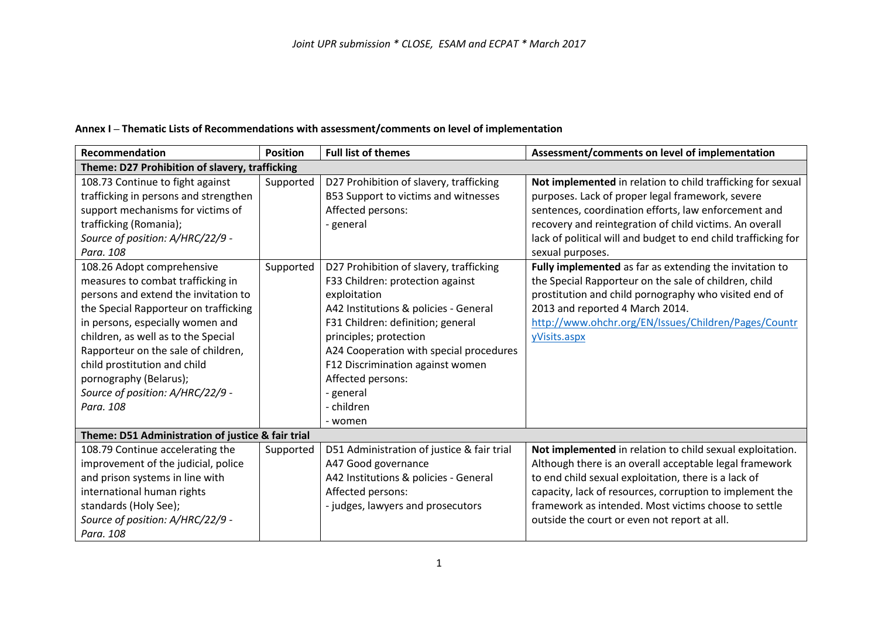|  | Annex I - Thematic Lists of Recommendations with assessment/comments on level of implementation |
|--|-------------------------------------------------------------------------------------------------|
|--|-------------------------------------------------------------------------------------------------|

| Recommendation                                    | <b>Position</b> | <b>Full list of themes</b>                 | Assessment/comments on level of implementation                 |
|---------------------------------------------------|-----------------|--------------------------------------------|----------------------------------------------------------------|
| Theme: D27 Prohibition of slavery, trafficking    |                 |                                            |                                                                |
| 108.73 Continue to fight against                  | Supported       | D27 Prohibition of slavery, trafficking    | Not implemented in relation to child trafficking for sexual    |
| trafficking in persons and strengthen             |                 | B53 Support to victims and witnesses       | purposes. Lack of proper legal framework, severe               |
| support mechanisms for victims of                 |                 | Affected persons:                          | sentences, coordination efforts, law enforcement and           |
| trafficking (Romania);                            |                 | - general                                  | recovery and reintegration of child victims. An overall        |
| Source of position: A/HRC/22/9 -                  |                 |                                            | lack of political will and budget to end child trafficking for |
| Para, 108                                         |                 |                                            | sexual purposes.                                               |
| 108.26 Adopt comprehensive                        | Supported       | D27 Prohibition of slavery, trafficking    | Fully implemented as far as extending the invitation to        |
| measures to combat trafficking in                 |                 | F33 Children: protection against           | the Special Rapporteur on the sale of children, child          |
| persons and extend the invitation to              |                 | exploitation                               | prostitution and child pornography who visited end of          |
| the Special Rapporteur on trafficking             |                 | A42 Institutions & policies - General      | 2013 and reported 4 March 2014.                                |
| in persons, especially women and                  |                 | F31 Children: definition; general          | http://www.ohchr.org/EN/Issues/Children/Pages/Countr           |
| children, as well as to the Special               |                 | principles; protection                     | yVisits.aspx                                                   |
| Rapporteur on the sale of children,               |                 | A24 Cooperation with special procedures    |                                                                |
| child prostitution and child                      |                 | F12 Discrimination against women           |                                                                |
| pornography (Belarus);                            |                 | Affected persons:                          |                                                                |
| Source of position: A/HRC/22/9 -                  |                 | - general                                  |                                                                |
| Para, 108                                         |                 | - children                                 |                                                                |
|                                                   |                 | - women                                    |                                                                |
| Theme: D51 Administration of justice & fair trial |                 |                                            |                                                                |
| 108.79 Continue accelerating the                  | Supported       | D51 Administration of justice & fair trial | Not implemented in relation to child sexual exploitation.      |
| improvement of the judicial, police               |                 | A47 Good governance                        | Although there is an overall acceptable legal framework        |
| and prison systems in line with                   |                 | A42 Institutions & policies - General      | to end child sexual exploitation, there is a lack of           |
| international human rights                        |                 | Affected persons:                          | capacity, lack of resources, corruption to implement the       |
| standards (Holy See);                             |                 | - judges, lawyers and prosecutors          | framework as intended. Most victims choose to settle           |
| Source of position: A/HRC/22/9 -                  |                 |                                            | outside the court or even not report at all.                   |
| Para. 108                                         |                 |                                            |                                                                |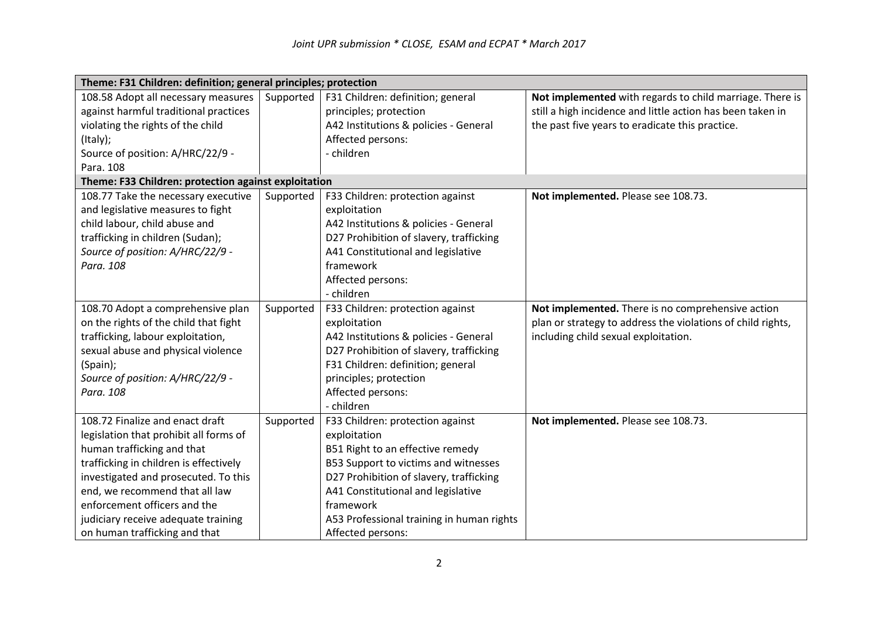| Theme: F31 Children: definition; general principles; protection |           |                                           |                                                             |
|-----------------------------------------------------------------|-----------|-------------------------------------------|-------------------------------------------------------------|
| 108.58 Adopt all necessary measures                             | Supported | F31 Children: definition; general         | Not implemented with regards to child marriage. There is    |
| against harmful traditional practices                           |           | principles; protection                    | still a high incidence and little action has been taken in  |
| violating the rights of the child                               |           | A42 Institutions & policies - General     | the past five years to eradicate this practice.             |
| (Italy);                                                        |           | Affected persons:                         |                                                             |
| Source of position: A/HRC/22/9 -                                |           | - children                                |                                                             |
| Para. 108                                                       |           |                                           |                                                             |
| Theme: F33 Children: protection against exploitation            |           |                                           |                                                             |
| 108.77 Take the necessary executive                             | Supported | F33 Children: protection against          | Not implemented. Please see 108.73.                         |
| and legislative measures to fight                               |           | exploitation                              |                                                             |
| child labour, child abuse and                                   |           | A42 Institutions & policies - General     |                                                             |
| trafficking in children (Sudan);                                |           | D27 Prohibition of slavery, trafficking   |                                                             |
| Source of position: A/HRC/22/9 -                                |           | A41 Constitutional and legislative        |                                                             |
| Para, 108                                                       |           | framework                                 |                                                             |
|                                                                 |           | Affected persons:                         |                                                             |
|                                                                 |           | - children                                |                                                             |
| 108.70 Adopt a comprehensive plan                               | Supported | F33 Children: protection against          | Not implemented. There is no comprehensive action           |
| on the rights of the child that fight                           |           | exploitation                              | plan or strategy to address the violations of child rights, |
| trafficking, labour exploitation,                               |           | A42 Institutions & policies - General     | including child sexual exploitation.                        |
| sexual abuse and physical violence                              |           | D27 Prohibition of slavery, trafficking   |                                                             |
| (Spain);                                                        |           | F31 Children: definition; general         |                                                             |
| Source of position: A/HRC/22/9 -                                |           | principles; protection                    |                                                             |
| Para. 108                                                       |           | Affected persons:                         |                                                             |
|                                                                 |           | - children                                |                                                             |
| 108.72 Finalize and enact draft                                 | Supported | F33 Children: protection against          | Not implemented. Please see 108.73.                         |
| legislation that prohibit all forms of                          |           | exploitation                              |                                                             |
| human trafficking and that                                      |           | B51 Right to an effective remedy          |                                                             |
| trafficking in children is effectively                          |           | B53 Support to victims and witnesses      |                                                             |
| investigated and prosecuted. To this                            |           | D27 Prohibition of slavery, trafficking   |                                                             |
| end, we recommend that all law                                  |           | A41 Constitutional and legislative        |                                                             |
| enforcement officers and the                                    |           | framework                                 |                                                             |
| judiciary receive adequate training                             |           | A53 Professional training in human rights |                                                             |
| on human trafficking and that                                   |           | Affected persons:                         |                                                             |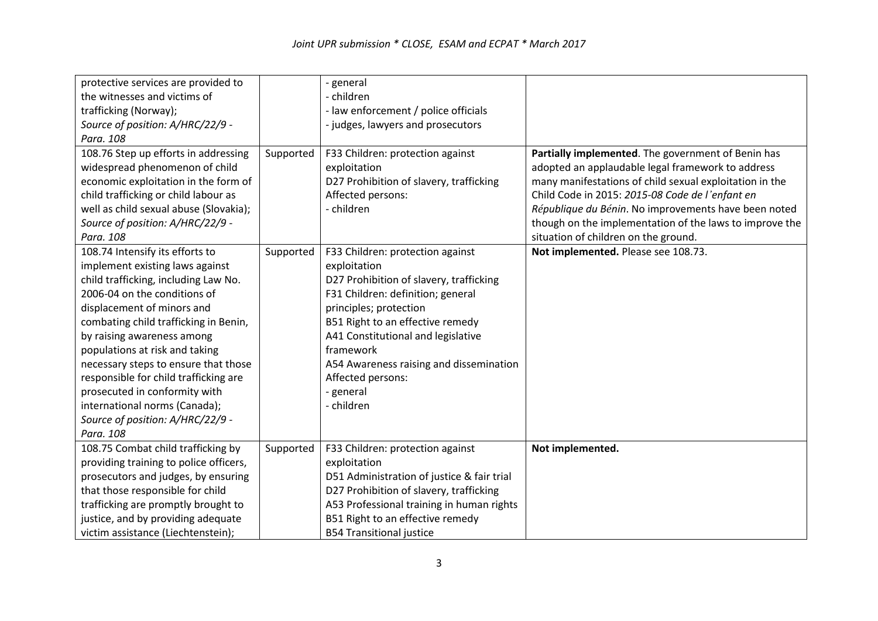| protective services are provided to    |           | - general                                  |                                                         |
|----------------------------------------|-----------|--------------------------------------------|---------------------------------------------------------|
| the witnesses and victims of           |           | - children                                 |                                                         |
| trafficking (Norway);                  |           | - law enforcement / police officials       |                                                         |
| Source of position: A/HRC/22/9 -       |           | - judges, lawyers and prosecutors          |                                                         |
| Para. 108                              |           |                                            |                                                         |
| 108.76 Step up efforts in addressing   | Supported | F33 Children: protection against           | Partially implemented. The government of Benin has      |
| widespread phenomenon of child         |           | exploitation                               | adopted an applaudable legal framework to address       |
| economic exploitation in the form of   |           | D27 Prohibition of slavery, trafficking    | many manifestations of child sexual exploitation in the |
| child trafficking or child labour as   |           | Affected persons:                          | Child Code in 2015: 2015-08 Code de l'enfant en         |
| well as child sexual abuse (Slovakia); |           | - children                                 | République du Bénin. No improvements have been noted    |
| Source of position: A/HRC/22/9 -       |           |                                            | though on the implementation of the laws to improve the |
| Para. 108                              |           |                                            | situation of children on the ground.                    |
| 108.74 Intensify its efforts to        | Supported | F33 Children: protection against           | Not implemented. Please see 108.73.                     |
| implement existing laws against        |           | exploitation                               |                                                         |
| child trafficking, including Law No.   |           | D27 Prohibition of slavery, trafficking    |                                                         |
| 2006-04 on the conditions of           |           | F31 Children: definition; general          |                                                         |
| displacement of minors and             |           | principles; protection                     |                                                         |
| combating child trafficking in Benin,  |           | B51 Right to an effective remedy           |                                                         |
| by raising awareness among             |           | A41 Constitutional and legislative         |                                                         |
| populations at risk and taking         |           | framework                                  |                                                         |
| necessary steps to ensure that those   |           | A54 Awareness raising and dissemination    |                                                         |
| responsible for child trafficking are  |           | Affected persons:                          |                                                         |
| prosecuted in conformity with          |           | - general                                  |                                                         |
| international norms (Canada);          |           | - children                                 |                                                         |
| Source of position: A/HRC/22/9 -       |           |                                            |                                                         |
| Para. 108                              |           |                                            |                                                         |
| 108.75 Combat child trafficking by     | Supported | F33 Children: protection against           | Not implemented.                                        |
| providing training to police officers, |           | exploitation                               |                                                         |
| prosecutors and judges, by ensuring    |           | D51 Administration of justice & fair trial |                                                         |
| that those responsible for child       |           | D27 Prohibition of slavery, trafficking    |                                                         |
| trafficking are promptly brought to    |           | A53 Professional training in human rights  |                                                         |
| justice, and by providing adequate     |           | B51 Right to an effective remedy           |                                                         |
| victim assistance (Liechtenstein);     |           | <b>B54 Transitional justice</b>            |                                                         |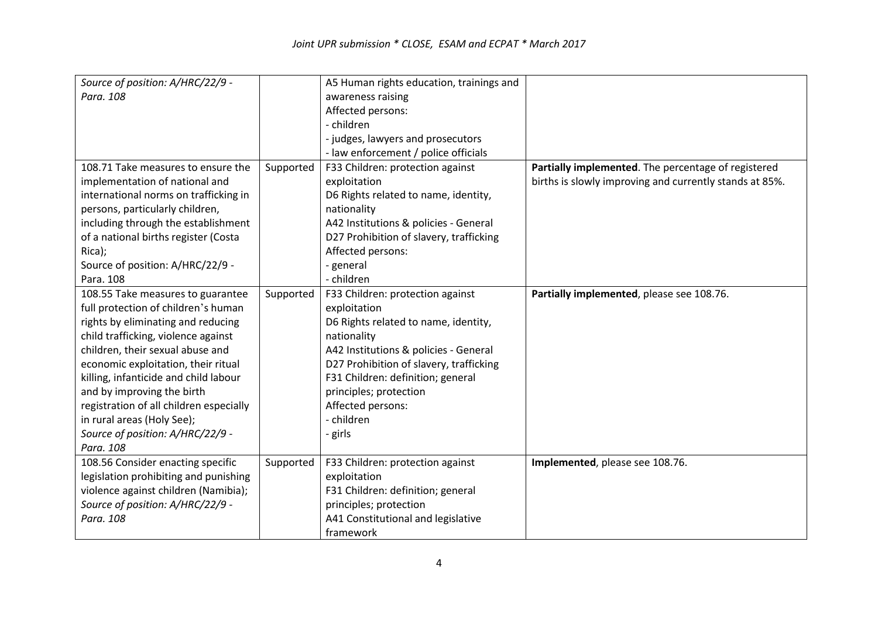| Source of position: A/HRC/22/9 -        |           | A5 Human rights education, trainings and |                                                         |
|-----------------------------------------|-----------|------------------------------------------|---------------------------------------------------------|
| Para, 108                               |           | awareness raising                        |                                                         |
|                                         |           | Affected persons:                        |                                                         |
|                                         |           | - children                               |                                                         |
|                                         |           | - judges, lawyers and prosecutors        |                                                         |
|                                         |           | - law enforcement / police officials     |                                                         |
| 108.71 Take measures to ensure the      | Supported | F33 Children: protection against         | Partially implemented. The percentage of registered     |
| implementation of national and          |           | exploitation                             | births is slowly improving and currently stands at 85%. |
| international norms on trafficking in   |           | D6 Rights related to name, identity,     |                                                         |
| persons, particularly children,         |           | nationality                              |                                                         |
| including through the establishment     |           | A42 Institutions & policies - General    |                                                         |
| of a national births register (Costa    |           | D27 Prohibition of slavery, trafficking  |                                                         |
| Rica);                                  |           | Affected persons:                        |                                                         |
| Source of position: A/HRC/22/9 -        |           | - general                                |                                                         |
| Para. 108                               |           | - children                               |                                                         |
| 108.55 Take measures to guarantee       | Supported | F33 Children: protection against         | Partially implemented, please see 108.76.               |
| full protection of children's human     |           | exploitation                             |                                                         |
| rights by eliminating and reducing      |           | D6 Rights related to name, identity,     |                                                         |
| child trafficking, violence against     |           | nationality                              |                                                         |
| children, their sexual abuse and        |           | A42 Institutions & policies - General    |                                                         |
| economic exploitation, their ritual     |           | D27 Prohibition of slavery, trafficking  |                                                         |
| killing, infanticide and child labour   |           | F31 Children: definition; general        |                                                         |
| and by improving the birth              |           | principles; protection                   |                                                         |
| registration of all children especially |           | Affected persons:                        |                                                         |
| in rural areas (Holy See);              |           | - children                               |                                                         |
| Source of position: A/HRC/22/9 -        |           | - girls                                  |                                                         |
| Para. 108                               |           |                                          |                                                         |
| 108.56 Consider enacting specific       | Supported | F33 Children: protection against         | Implemented, please see 108.76.                         |
| legislation prohibiting and punishing   |           | exploitation                             |                                                         |
| violence against children (Namibia);    |           | F31 Children: definition; general        |                                                         |
| Source of position: A/HRC/22/9 -        |           | principles; protection                   |                                                         |
| Para. 108                               |           | A41 Constitutional and legislative       |                                                         |
|                                         |           | framework                                |                                                         |